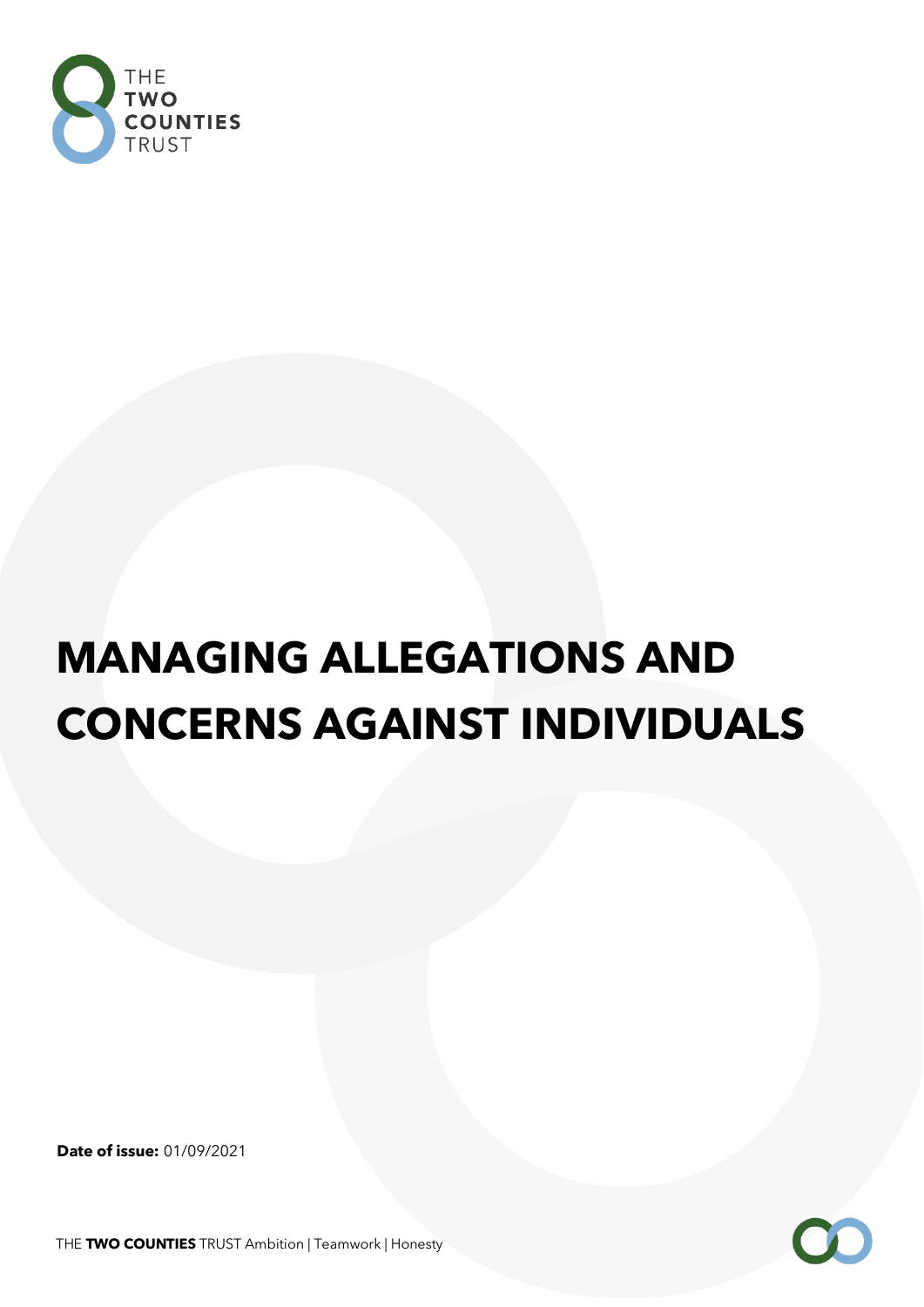

# **MANAGING ALLEGATIONS AND CONCERNS AGAINST INDIVIDUALS**

**Date of issue:** 01/09/2021

THE **TWO COUNTIES** TRUST Ambition | Teamwork | Honesty

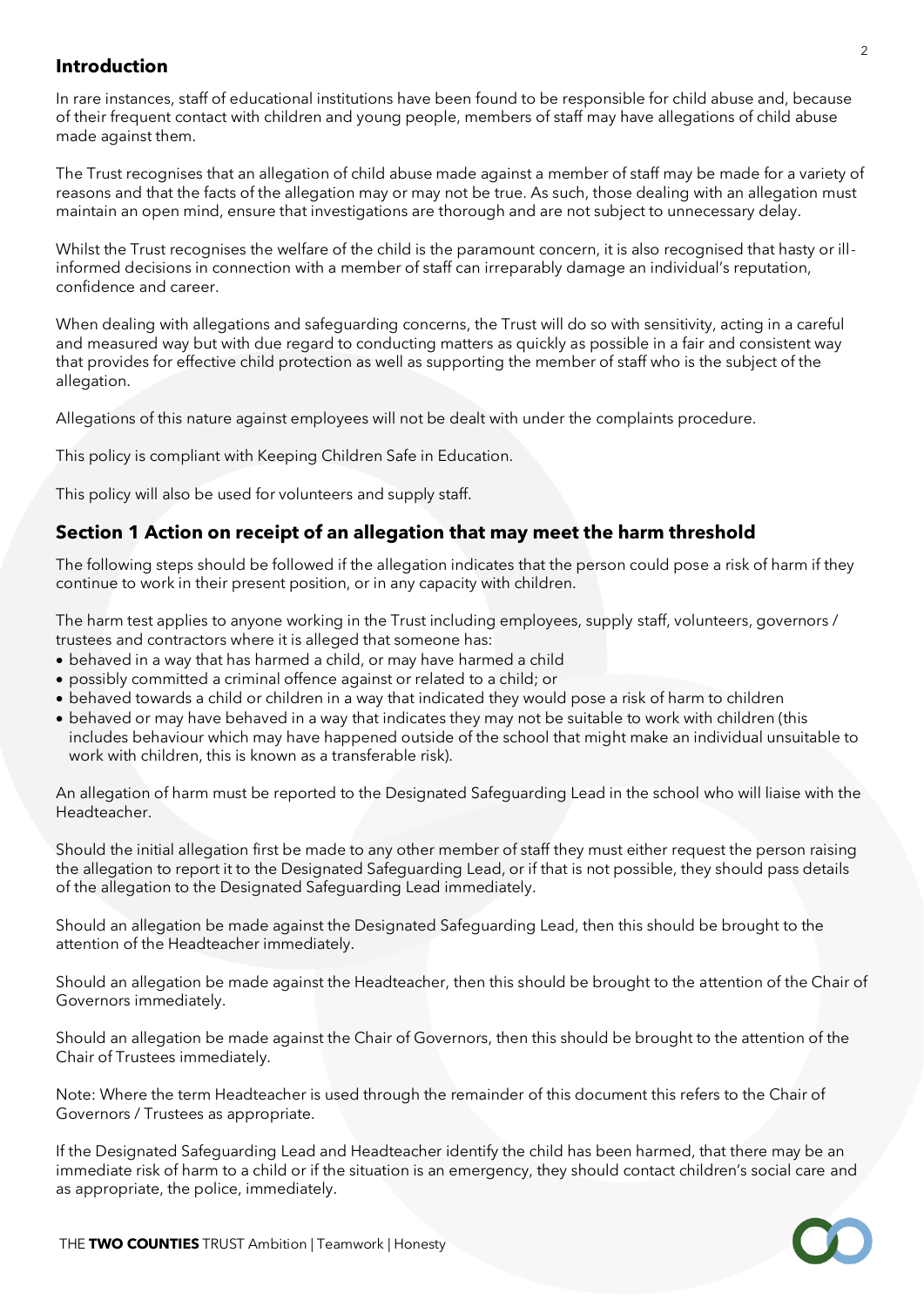#### **Introduction**

In rare instances, staff of educational institutions have been found to be responsible for child abuse and, because of their frequent contact with children and young people, members of staff may have allegations of child abuse made against them.

The Trust recognises that an allegation of child abuse made against a member of staff may be made for a variety of reasons and that the facts of the allegation may or may not be true. As such, those dealing with an allegation must maintain an open mind, ensure that investigations are thorough and are not subject to unnecessary delay.

Whilst the Trust recognises the welfare of the child is the paramount concern, it is also recognised that hasty or illinformed decisions in connection with a member of staff can irreparably damage an individual's reputation, confidence and career.

When dealing with allegations and safeguarding concerns, the Trust will do so with sensitivity, acting in a careful and measured way but with due regard to conducting matters as quickly as possible in a fair and consistent way that provides for effective child protection as well as supporting the member of staff who is the subject of the allegation.

Allegations of this nature against employees will not be dealt with under the complaints procedure.

This policy is compliant with Keeping Children Safe in Education.

This policy will also be used for volunteers and supply staff.

## **Section 1 Action on receipt of an allegation that may meet the harm threshold**

The following steps should be followed if the allegation indicates that the person could pose a risk of harm if they continue to work in their present position, or in any capacity with children.

The harm test applies to anyone working in the Trust including employees, supply staff, volunteers, governors / trustees and contractors where it is alleged that someone has:

- behaved in a way that has harmed a child, or may have harmed a child
- possibly committed a criminal offence against or related to a child; or
- behaved towards a child or children in a way that indicated they would pose a risk of harm to children
- behaved or may have behaved in a way that indicates they may not be suitable to work with children (this includes behaviour which may have happened outside of the school that might make an individual unsuitable to work with children, this is known as a transferable risk).

An allegation of harm must be reported to the Designated Safeguarding Lead in the school who will liaise with the Headteacher.

Should the initial allegation first be made to any other member of staff they must either request the person raising the allegation to report it to the Designated Safeguarding Lead, or if that is not possible, they should pass details of the allegation to the Designated Safeguarding Lead immediately.

Should an allegation be made against the Designated Safeguarding Lead, then this should be brought to the attention of the Headteacher immediately.

Should an allegation be made against the Headteacher, then this should be brought to the attention of the Chair of Governors immediately.

Should an allegation be made against the Chair of Governors, then this should be brought to the attention of the Chair of Trustees immediately.

Note: Where the term Headteacher is used through the remainder of this document this refers to the Chair of Governors / Trustees as appropriate.

If the Designated Safeguarding Lead and Headteacher identify the child has been harmed, that there may be an immediate risk of harm to a child or if the situation is an emergency, they should contact children's social care and as appropriate, the police, immediately.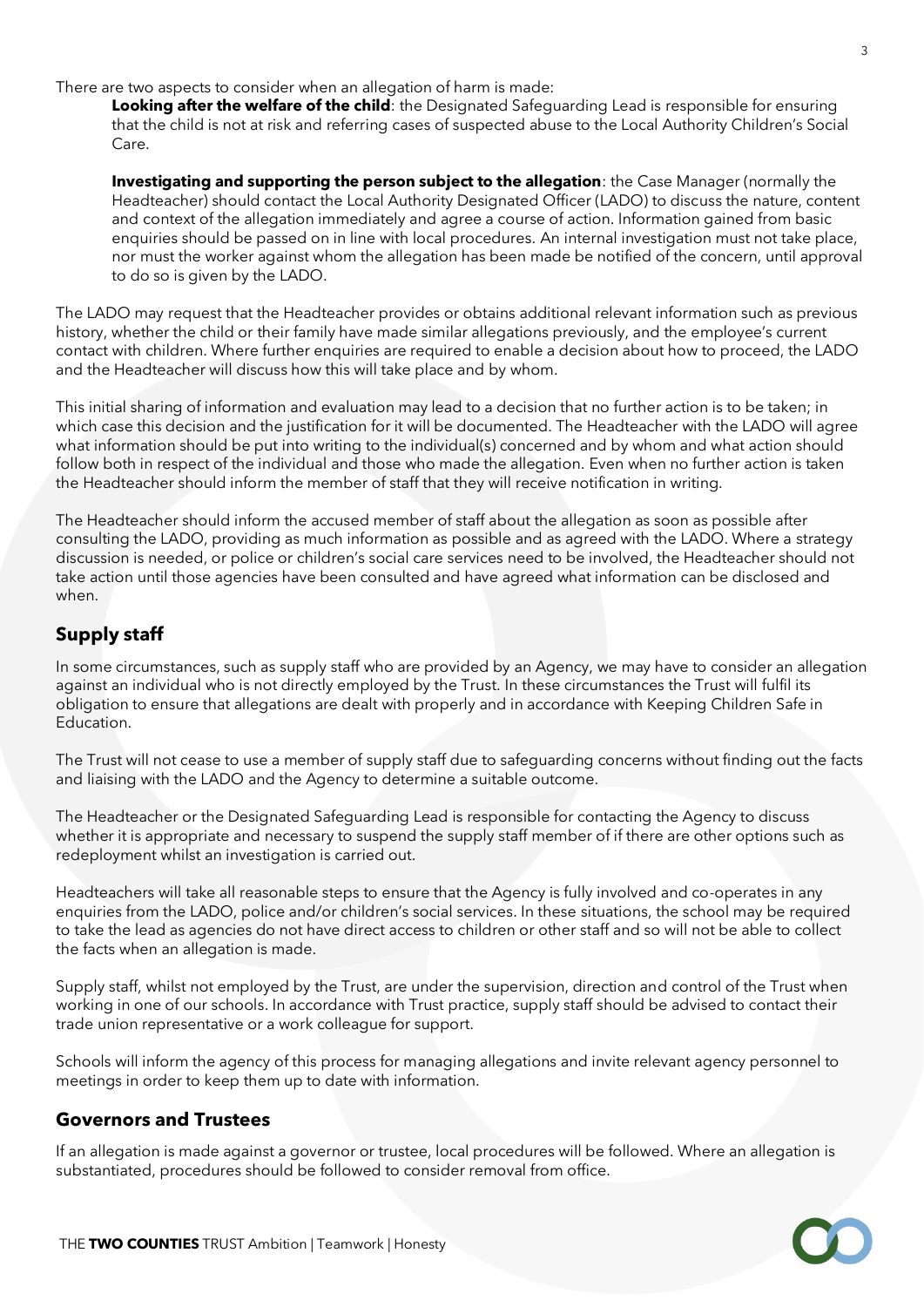There are two aspects to consider when an allegation of harm is made:

**Looking after the welfare of the child**: the Designated Safeguarding Lead is responsible for ensuring that the child is not at risk and referring cases of suspected abuse to the Local Authority Children's Social Care.

**Investigating and supporting the person subject to the allegation**: the Case Manager (normally the Headteacher) should contact the Local Authority Designated Officer (LADO) to discuss the nature, content and context of the allegation immediately and agree a course of action. Information gained from basic enquiries should be passed on in line with local procedures. An internal investigation must not take place, nor must the worker against whom the allegation has been made be notified of the concern, until approval to do so is given by the LADO.

The LADO may request that the Headteacher provides or obtains additional relevant information such as previous history, whether the child or their family have made similar allegations previously, and the employee's current contact with children. Where further enquiries are required to enable a decision about how to proceed, the LADO and the Headteacher will discuss how this will take place and by whom.

This initial sharing of information and evaluation may lead to a decision that no further action is to be taken; in which case this decision and the justification for it will be documented. The Headteacher with the LADO will agree what information should be put into writing to the individual(s) concerned and by whom and what action should follow both in respect of the individual and those who made the allegation. Even when no further action is taken the Headteacher should inform the member of staff that they will receive notification in writing.

The Headteacher should inform the accused member of staff about the allegation as soon as possible after consulting the LADO, providing as much information as possible and as agreed with the LADO. Where a strategy discussion is needed, or police or children's social care services need to be involved, the Headteacher should not take action until those agencies have been consulted and have agreed what information can be disclosed and when.

## **Supply staff**

In some circumstances, such as supply staff who are provided by an Agency, we may have to consider an allegation against an individual who is not directly employed by the Trust. In these circumstances the Trust will fulfil its obligation to ensure that allegations are dealt with properly and in accordance with Keeping Children Safe in Education.

The Trust will not cease to use a member of supply staff due to safeguarding concerns without finding out the facts and liaising with the LADO and the Agency to determine a suitable outcome.

The Headteacher or the Designated Safeguarding Lead is responsible for contacting the Agency to discuss whether it is appropriate and necessary to suspend the supply staff member of if there are other options such as redeployment whilst an investigation is carried out.

Headteachers will take all reasonable steps to ensure that the Agency is fully involved and co-operates in any enquiries from the LADO, police and/or children's social services. In these situations, the school may be required to take the lead as agencies do not have direct access to children or other staff and so will not be able to collect the facts when an allegation is made.

Supply staff, whilst not employed by the Trust, are under the supervision, direction and control of the Trust when working in one of our schools. In accordance with Trust practice, supply staff should be advised to contact their trade union representative or a work colleague for support.

Schools will inform the agency of this process for managing allegations and invite relevant agency personnel to meetings in order to keep them up to date with information.

#### **Governors and Trustees**

If an allegation is made against a governor or trustee, local procedures will be followed. Where an allegation is substantiated, procedures should be followed to consider removal from office.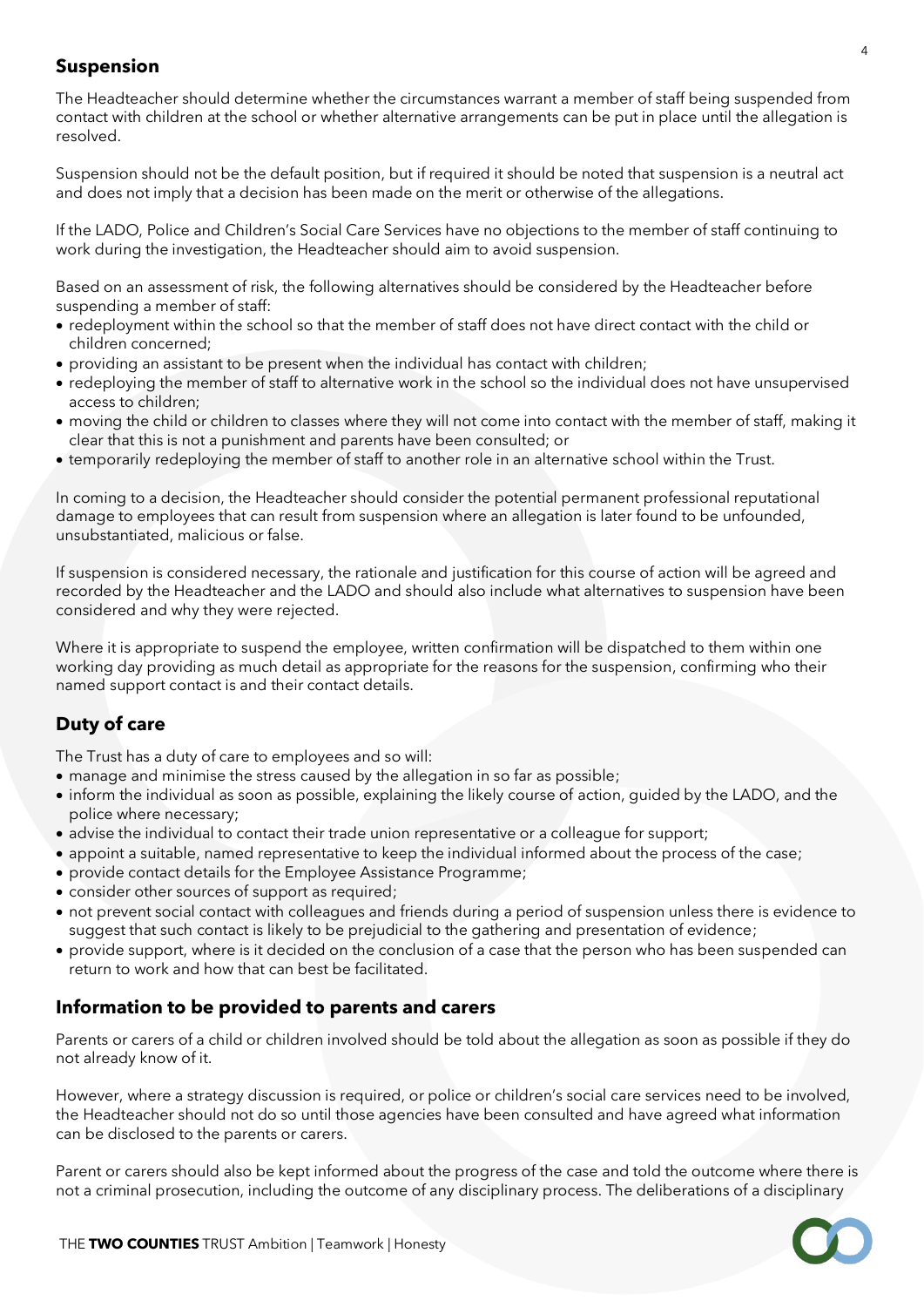## **Suspension**

The Headteacher should determine whether the circumstances warrant a member of staff being suspended from contact with children at the school or whether alternative arrangements can be put in place until the allegation is resolved.

Suspension should not be the default position, but if required it should be noted that suspension is a neutral act and does not imply that a decision has been made on the merit or otherwise of the allegations.

If the LADO, Police and Children's Social Care Services have no objections to the member of staff continuing to work during the investigation, the Headteacher should aim to avoid suspension.

Based on an assessment of risk, the following alternatives should be considered by the Headteacher before suspending a member of staff:

- redeployment within the school so that the member of staff does not have direct contact with the child or children concerned;
- providing an assistant to be present when the individual has contact with children;
- redeploying the member of staff to alternative work in the school so the individual does not have unsupervised access to children;
- moving the child or children to classes where they will not come into contact with the member of staff, making it clear that this is not a punishment and parents have been consulted; or
- temporarily redeploying the member of staff to another role in an alternative school within the Trust.

In coming to a decision, the Headteacher should consider the potential permanent professional reputational damage to employees that can result from suspension where an allegation is later found to be unfounded, unsubstantiated, malicious or false.

If suspension is considered necessary, the rationale and justification for this course of action will be agreed and recorded by the Headteacher and the LADO and should also include what alternatives to suspension have been considered and why they were rejected.

Where it is appropriate to suspend the employee, written confirmation will be dispatched to them within one working day providing as much detail as appropriate for the reasons for the suspension, confirming who their named support contact is and their contact details.

## **Duty of care**

The Trust has a duty of care to employees and so will:

- manage and minimise the stress caused by the allegation in so far as possible;
- inform the individual as soon as possible, explaining the likely course of action, guided by the LADO, and the police where necessary;
- advise the individual to contact their trade union representative or a colleague for support;
- appoint a suitable, named representative to keep the individual informed about the process of the case;
- provide contact details for the Employee Assistance Programme;
- consider other sources of support as required;
- not prevent social contact with colleagues and friends during a period of suspension unless there is evidence to suggest that such contact is likely to be prejudicial to the gathering and presentation of evidence;
- provide support, where is it decided on the conclusion of a case that the person who has been suspended can return to work and how that can best be facilitated.

## **Information to be provided to parents and carers**

Parents or carers of a child or children involved should be told about the allegation as soon as possible if they do not already know of it.

However, where a strategy discussion is required, or police or children's social care services need to be involved, the Headteacher should not do so until those agencies have been consulted and have agreed what information can be disclosed to the parents or carers.

Parent or carers should also be kept informed about the progress of the case and told the outcome where there is not a criminal prosecution, including the outcome of any disciplinary process. The deliberations of a disciplinary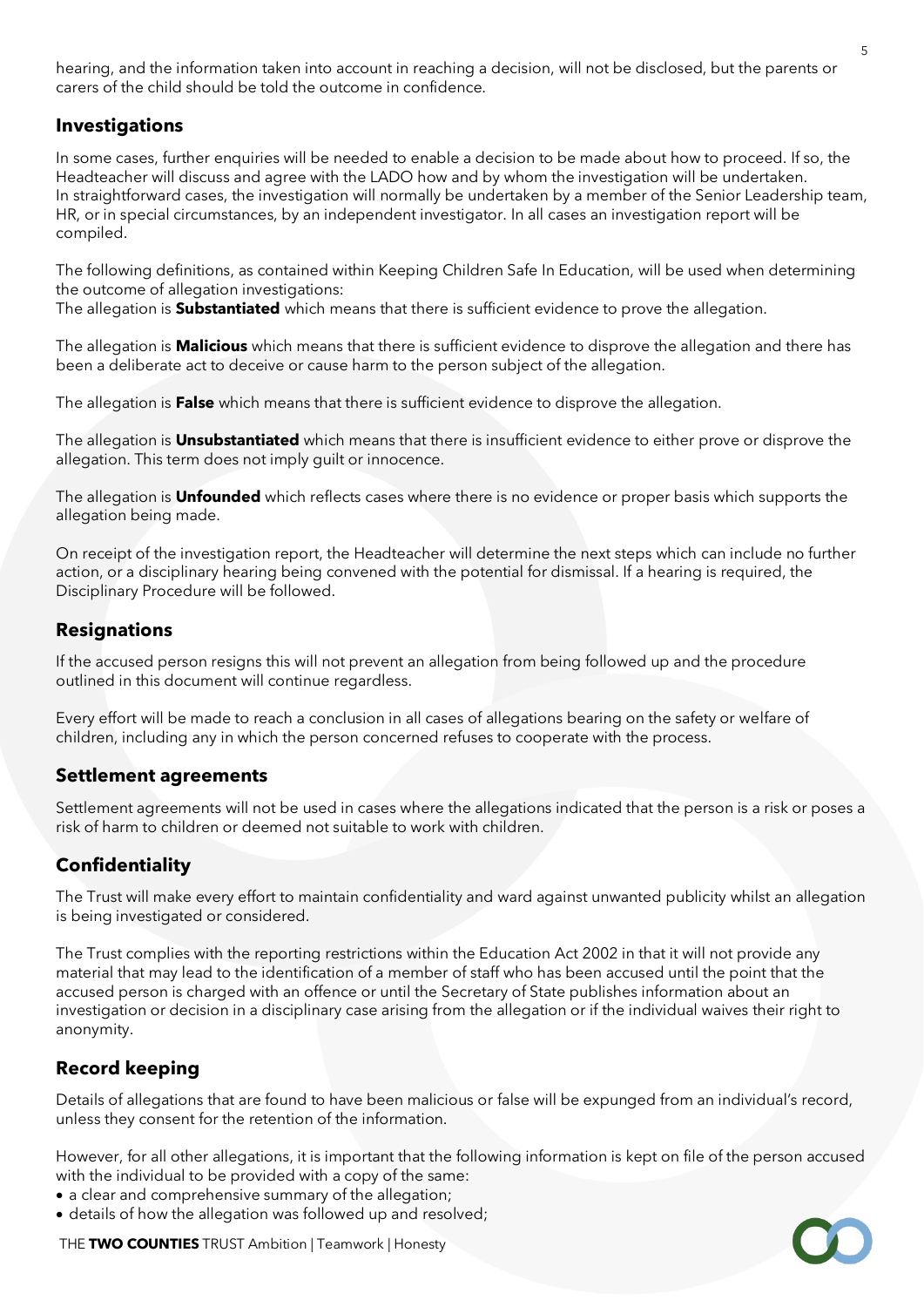hearing, and the information taken into account in reaching a decision, will not be disclosed, but the parents or carers of the child should be told the outcome in confidence.

## **Investigations**

In some cases, further enquiries will be needed to enable a decision to be made about how to proceed. If so, the Headteacher will discuss and agree with the LADO how and by whom the investigation will be undertaken. In straightforward cases, the investigation will normally be undertaken by a member of the Senior Leadership team, HR, or in special circumstances, by an independent investigator. In all cases an investigation report will be compiled.

The following definitions, as contained within Keeping Children Safe In Education, will be used when determining the outcome of allegation investigations:

The allegation is **Substantiated** which means that there is sufficient evidence to prove the allegation.

The allegation is **Malicious** which means that there is sufficient evidence to disprove the allegation and there has been a deliberate act to deceive or cause harm to the person subject of the allegation.

The allegation is **False** which means that there is sufficient evidence to disprove the allegation.

The allegation is **Unsubstantiated** which means that there is insufficient evidence to either prove or disprove the allegation. This term does not imply guilt or innocence.

The allegation is **Unfounded** which reflects cases where there is no evidence or proper basis which supports the allegation being made.

On receipt of the investigation report, the Headteacher will determine the next steps which can include no further action, or a disciplinary hearing being convened with the potential for dismissal. If a hearing is required, the Disciplinary Procedure will be followed.

#### **Resignations**

If the accused person resigns this will not prevent an allegation from being followed up and the procedure outlined in this document will continue regardless.

Every effort will be made to reach a conclusion in all cases of allegations bearing on the safety or welfare of children, including any in which the person concerned refuses to cooperate with the process.

#### **Settlement agreements**

Settlement agreements will not be used in cases where the allegations indicated that the person is a risk or poses a risk of harm to children or deemed not suitable to work with children.

## **Confidentiality**

The Trust will make every effort to maintain confidentiality and ward against unwanted publicity whilst an allegation is being investigated or considered.

The Trust complies with the reporting restrictions within the Education Act 2002 in that it will not provide any material that may lead to the identification of a member of staff who has been accused until the point that the accused person is charged with an offence or until the Secretary of State publishes information about an investigation or decision in a disciplinary case arising from the allegation or if the individual waives their right to anonymity.

#### **Record keeping**

Details of allegations that are found to have been malicious or false will be expunged from an individual's record, unless they consent for the retention of the information.

However, for all other allegations, it is important that the following information is kept on file of the person accused with the individual to be provided with a copy of the same:

- a clear and comprehensive summary of the allegation;
- details of how the allegation was followed up and resolved;

THE **TWO COUNTIES** TRUST Ambition | Teamwork | Honesty

5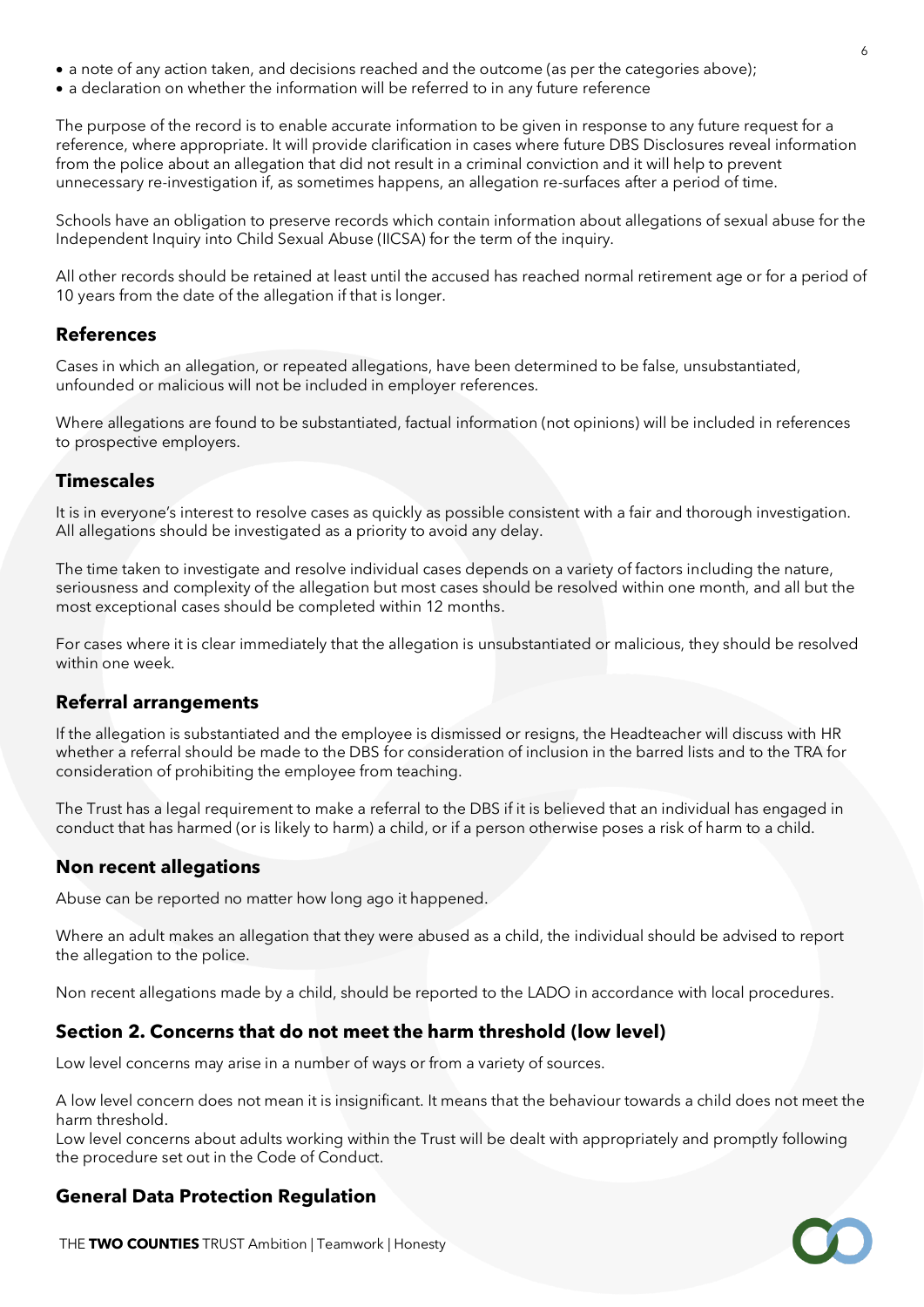- a note of any action taken, and decisions reached and the outcome (as per the categories above);
- a declaration on whether the information will be referred to in any future reference

The purpose of the record is to enable accurate information to be given in response to any future request for a reference, where appropriate. It will provide clarification in cases where future DBS Disclosures reveal information from the police about an allegation that did not result in a criminal conviction and it will help to prevent unnecessary re-investigation if, as sometimes happens, an allegation re-surfaces after a period of time.

Schools have an obligation to preserve records which contain information about allegations of sexual abuse for the Independent Inquiry into Child Sexual Abuse (IICSA) for the term of the inquiry.

All other records should be retained at least until the accused has reached normal retirement age or for a period of 10 years from the date of the allegation if that is longer.

#### **References**

Cases in which an allegation, or repeated allegations, have been determined to be false, unsubstantiated, unfounded or malicious will not be included in employer references.

Where allegations are found to be substantiated, factual information (not opinions) will be included in references to prospective employers.

#### **Timescales**

It is in everyone's interest to resolve cases as quickly as possible consistent with a fair and thorough investigation. All allegations should be investigated as a priority to avoid any delay.

The time taken to investigate and resolve individual cases depends on a variety of factors including the nature, seriousness and complexity of the allegation but most cases should be resolved within one month, and all but the most exceptional cases should be completed within 12 months.

For cases where it is clear immediately that the allegation is unsubstantiated or malicious, they should be resolved within one week.

#### **Referral arrangements**

If the allegation is substantiated and the employee is dismissed or resigns, the Headteacher will discuss with HR whether a referral should be made to the DBS for consideration of inclusion in the barred lists and to the TRA for consideration of prohibiting the employee from teaching.

The Trust has a legal requirement to make a referral to the DBS if it is believed that an individual has engaged in conduct that has harmed (or is likely to harm) a child, or if a person otherwise poses a risk of harm to a child.

#### **Non recent allegations**

Abuse can be reported no matter how long ago it happened.

Where an adult makes an allegation that they were abused as a child, the individual should be advised to report the allegation to the police.

Non recent allegations made by a child, should be reported to the LADO in accordance with local procedures.

#### **Section 2. Concerns that do not meet the harm threshold (low level)**

Low level concerns may arise in a number of ways or from a variety of sources.

A low level concern does not mean it is insignificant. It means that the behaviour towards a child does not meet the harm threshold.

Low level concerns about adults working within the Trust will be dealt with appropriately and promptly following the procedure set out in the Code of Conduct.

#### **General Data Protection Regulation**

THE **TWO COUNTIES** TRUST Ambition | Teamwork | Honesty